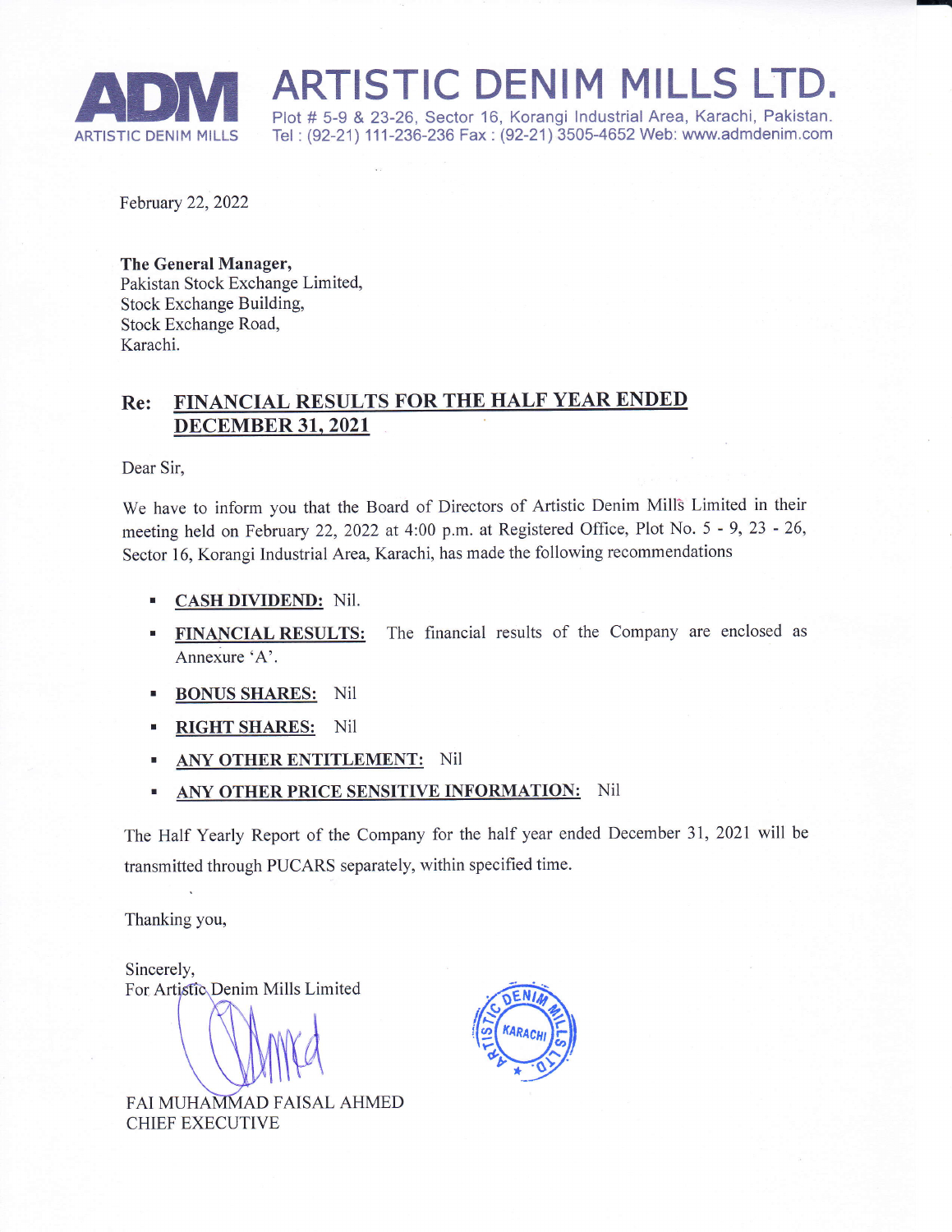

ADM ARTISTIC DENIM MILLS<br>Plot # 5-9 & 23-26, Sector 16, Korangi Industrial Area, Karachi,<br>ARTISTIC DENIM MILLS Tel : (92-21) 111-236-236 Fax : (92-21) 3505-4652 Web: www.admd MILLS LID<br>Industrial Area, Karachi, Pakistan

Tel: (92-21) 111-236-236 Fax: (92-21) 3505-4652 Web: www.admdenim.com

February 22, 2022

The General Manager, Pakistan Stock Exchange Limited, Stock Exchange Building, Stock Exchange Road, Karachi.

## Re: FINANCIAL RESULTS FOR THE HALF YEAR ENDED DECEMBER 31, 2021

Dear Sir,

We have to inform you that the Board of Directors of Artistic Denim Mill3 Limited in their meeting held on February 22, 2022 at 4:00 p.m. at Registered Office, Plot No. 5 - 9, 23 - 26, Sector 16, Korangi Industrial Area, Karachi, has made the following recommendations

- CASH DIVIDEND: Nil.
- FINANCIAL RESULTS: The financial results of the Company are enclosed as Annexure'A'.
- **BONUS SHARES:** Nil
- RIGHT SHARES: Nil
- ANY OTHER ENTITLEMENT: Nil
- ANY OTHER PRICE SENSITIVE INFORMATION: Nil

The Half Yearly Report of the Company for the half year ended December 31,2021 will be transmitted through PUCARS separately, within specified time.

Thanking you,

Sincerely, For Artistic Denim Mills Limited

FAI MUHAMMAD FAISAL AHMED CHIEF EXECUTIVE